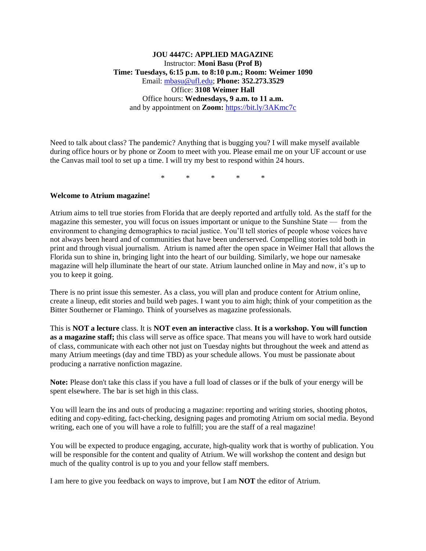## **JOU 4447C: APPLIED MAGAZINE** Instructor: **Moni Basu (Prof B) Time: Tuesdays, 6:15 p.m. to 8:10 p.m.; Room: Weimer 1090** Email: [mbasu@ufl.edu;](mailto:mbasu@ufl.edu) **Phone: 352.273.3529** Office: **3108 Weimer Hall** Office hours: **Wednesdays, 9 a.m. to 11 a.m.**  and by appointment on **Zoom:** <https://bit.ly/3AKmc7c>

Need to talk about class? The pandemic? Anything that is bugging you? I will make myself available during office hours or by phone or Zoom to meet with you. Please email me on your UF account or use the Canvas mail tool to set up a time. I will try my best to respond within 24 hours.

\* \* \* \* \*

#### **Welcome to Atrium magazine!**

Atrium aims to tell true stories from Florida that are deeply reported and artfully told. As the staff for the magazine this semester, you will focus on issues important or unique to the Sunshine State — from the environment to changing demographics to racial justice. You'll tell stories of people whose voices have not always been heard and of communities that have been underserved. Compelling stories told both in print and through visual journalism. Atrium is named after the open space in Weimer Hall that allows the Florida sun to shine in, bringing light into the heart of our building. Similarly, we hope our namesake magazine will help illuminate the heart of our state. Atrium launched online in May and now, it's up to you to keep it going.

There is no print issue this semester. As a class, you will plan and produce content for Atrium online, create a lineup, edit stories and build web pages. I want you to aim high; think of your competition as the Bitter Southerner or Flamingo. Think of yourselves as magazine professionals.

This is **NOT a lecture** class. It is **NOT even an interactive** class. **It is a workshop. You will function as a magazine staff;** this class will serve as office space. That means you will have to work hard outside of class, communicate with each other not just on Tuesday nights but throughout the week and attend as many Atrium meetings (day and time TBD) as your schedule allows. You must be passionate about producing a narrative nonfiction magazine.

**Note:** Please don't take this class if you have a full load of classes or if the bulk of your energy will be spent elsewhere. The bar is set high in this class.

You will learn the ins and outs of producing a magazine: reporting and writing stories, shooting photos, editing and copy-editing, fact-checking, designing pages and promoting Atrium om social media. Beyond writing, each one of you will have a role to fulfill; you are the staff of a real magazine!

You will be expected to produce engaging, accurate, high-quality work that is worthy of publication. You will be responsible for the content and quality of Atrium. We will workshop the content and design but much of the quality control is up to you and your fellow staff members.

I am here to give you feedback on ways to improve, but I am **NOT** the editor of Atrium.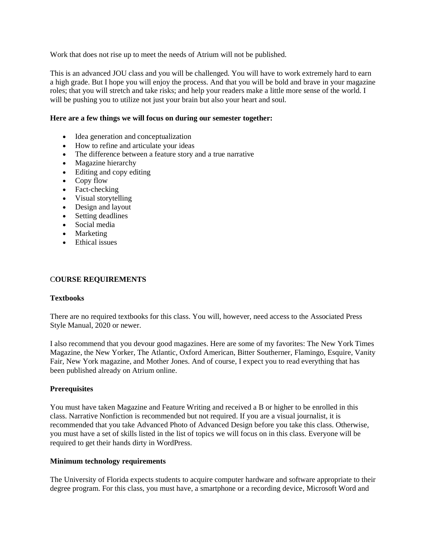Work that does not rise up to meet the needs of Atrium will not be published.

This is an advanced JOU class and you will be challenged. You will have to work extremely hard to earn a high grade. But I hope you will enjoy the process. And that you will be bold and brave in your magazine roles; that you will stretch and take risks; and help your readers make a little more sense of the world. I will be pushing you to utilize not just your brain but also your heart and soul.

#### **Here are a few things we will focus on during our semester together:**

- Idea generation and conceptualization
- How to refine and articulate your ideas
- The difference between a feature story and a true narrative
- Magazine hierarchy
- Editing and copy editing
- Copy flow
- Fact-checking
- Visual storytelling
- Design and layout
- Setting deadlines
- Social media
- Marketing
- Ethical issues

## C**OURSE REQUIREMENTS**

## **Textbooks**

There are no required textbooks for this class. You will, however, need access to the Associated Press Style Manual, 2020 or newer.

I also recommend that you devour good magazines. Here are some of my favorites: The New York Times Magazine, the New Yorker, The Atlantic, Oxford American, Bitter Southerner, Flamingo, Esquire, Vanity Fair, New York magazine, and Mother Jones. And of course, I expect you to read everything that has been published already on Atrium online.

## **Prerequisites**

You must have taken Magazine and Feature Writing and received a B or higher to be enrolled in this class. Narrative Nonfiction is recommended but not required. If you are a visual journalist, it is recommended that you take Advanced Photo of Advanced Design before you take this class. Otherwise, you must have a set of skills listed in the list of topics we will focus on in this class. Everyone will be required to get their hands dirty in WordPress.

## **Minimum technology requirements**

The University of Florida expects students to acquire computer hardware and software appropriate to their degree program. For this class, you must have, a smartphone or a recording device, Microsoft Word and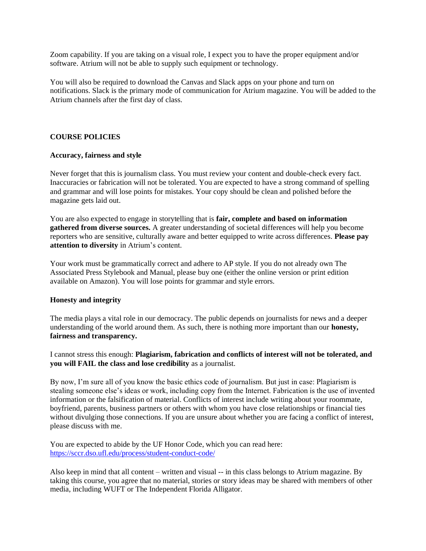Zoom capability. If you are taking on a visual role, I expect you to have the proper equipment and/or software. Atrium will not be able to supply such equipment or technology.

You will also be required to download the Canvas and Slack apps on your phone and turn on notifications. Slack is the primary mode of communication for Atrium magazine. You will be added to the Atrium channels after the first day of class.

### **COURSE POLICIES**

#### **Accuracy, fairness and style**

Never forget that this is journalism class. You must review your content and double-check every fact. Inaccuracies or fabrication will not be tolerated. You are expected to have a strong command of spelling and grammar and will lose points for mistakes. Your copy should be clean and polished before the magazine gets laid out.

You are also expected to engage in storytelling that is **fair, complete and based on information gathered from diverse sources.** A greater understanding of societal differences will help you become reporters who are sensitive, culturally aware and better equipped to write across differences. **Please pay attention to diversity** in Atrium's content.

Your work must be grammatically correct and adhere to AP style. If you do not already own The Associated Press Stylebook and Manual, please buy one (either the online version or print edition available on Amazon). You will lose points for grammar and style errors.

#### **Honesty and integrity**

The media plays a vital role in our democracy. The public depends on journalists for news and a deeper understanding of the world around them. As such, there is nothing more important than our **honesty, fairness and transparency.**

I cannot stress this enough: **Plagiarism, fabrication and conflicts of interest will not be tolerated, and you will FAIL the class and lose credibility** as a journalist.

By now, I'm sure all of you know the basic ethics code of journalism. But just in case: Plagiarism is stealing someone else's ideas or work, including copy from the Internet. Fabrication is the use of invented information or the falsification of material. Conflicts of interest include writing about your roommate, boyfriend, parents, business partners or others with whom you have close relationships or financial ties without divulging those connections. If you are unsure about whether you are facing a conflict of interest, please discuss with me.

You are expected to abide by the UF Honor Code, which you can read here: <https://sccr.dso.ufl.edu/process/student-conduct-code/>

Also keep in mind that all content – written and visual -- in this class belongs to Atrium magazine. By taking this course, you agree that no material, stories or story ideas may be shared with members of other media, including WUFT or The Independent Florida Alligator.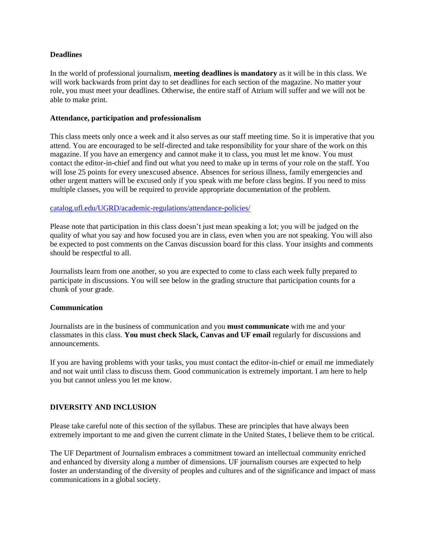### **Deadlines**

In the world of professional journalism, **meeting deadlines is mandatory** as it will be in this class. We will work backwards from print day to set deadlines for each section of the magazine. No matter your role, you must meet your deadlines. Otherwise, the entire staff of Atrium will suffer and we will not be able to make print.

#### **Attendance, participation and professionalism**

This class meets only once a week and it also serves as our staff meeting time. So it is imperative that you attend. You are encouraged to be self-directed and take responsibility for your share of the work on this magazine. If you have an emergency and cannot make it to class, you must let me know. You must contact the editor-in-chief and find out what you need to make up in terms of your role on the staff. You will lose 25 points for every unexcused absence. Absences for serious illness, family emergencies and other urgent matters will be excused only if you speak with me before class begins. If you need to miss multiple classes, you will be required to provide appropriate documentation of the problem.

## [catalog.ufl.edu/UGRD/academic-regulations/attendance-policies/](http://catalog.ufl.edu/UGRD/academic-regulations/attendance-policies/)

Please note that participation in this class doesn't just mean speaking a lot; you will be judged on the quality of what you say and how focused you are in class, even when you are not speaking. You will also be expected to post comments on the Canvas discussion board for this class. Your insights and comments should be respectful to all.

Journalists learn from one another, so you are expected to come to class each week fully prepared to participate in discussions. You will see below in the grading structure that participation counts for a chunk of your grade.

## **Communication**

Journalists are in the business of communication and you **must communicate** with me and your classmates in this class. **You must check Slack, Canvas and UF email** regularly for discussions and announcements.

If you are having problems with your tasks, you must contact the editor-in-chief or email me immediately and not wait until class to discuss them. Good communication is extremely important. I am here to help you but cannot unless you let me know.

## **DIVERSITY AND INCLUSION**

Please take careful note of this section of the syllabus. These are principles that have always been extremely important to me and given the current climate in the United States, I believe them to be critical.

The UF Department of Journalism embraces a commitment toward an intellectual community enriched and enhanced by diversity along a number of dimensions. UF journalism courses are expected to help foster an understanding of the diversity of peoples and cultures and of the significance and impact of mass communications in a global society.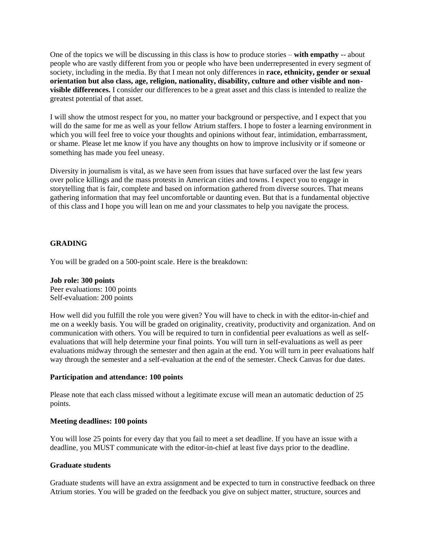One of the topics we will be discussing in this class is how to produce stories – **with empathy** -- about people who are vastly different from you or people who have been underrepresented in every segment of society, including in the media. By that I mean not only differences in **race, ethnicity, gender or sexual orientation but also class, age, religion, nationality, disability, culture and other visible and nonvisible differences.** I consider our differences to be a great asset and this class is intended to realize the greatest potential of that asset.

I will show the utmost respect for you, no matter your background or perspective, and I expect that you will do the same for me as well as your fellow Atrium staffers. I hope to foster a learning environment in which you will feel free to voice your thoughts and opinions without fear, intimidation, embarrassment, or shame. Please let me know if you have any thoughts on how to improve inclusivity or if someone or something has made you feel uneasy.

Diversity in journalism is vital, as we have seen from issues that have surfaced over the last few years over police killings and the mass protests in American cities and towns. I expect you to engage in storytelling that is fair, complete and based on information gathered from diverse sources. That means gathering information that may feel uncomfortable or daunting even. But that is a fundamental objective of this class and I hope you will lean on me and your classmates to help you navigate the process.

## **GRADING**

You will be graded on a 500-point scale. Here is the breakdown:

#### **Job role: 300 points**

Peer evaluations: 100 points Self-evaluation: 200 points

How well did you fulfill the role you were given? You will have to check in with the editor-in-chief and me on a weekly basis. You will be graded on originality, creativity, productivity and organization. And on communication with others. You will be required to turn in confidential peer evaluations as well as selfevaluations that will help determine your final points. You will turn in self-evaluations as well as peer evaluations midway through the semester and then again at the end. You will turn in peer evaluations half way through the semester and a self-evaluation at the end of the semester. Check Canvas for due dates.

#### **Participation and attendance: 100 points**

Please note that each class missed without a legitimate excuse will mean an automatic deduction of 25 points.

#### **Meeting deadlines: 100 points**

You will lose 25 points for every day that you fail to meet a set deadline. If you have an issue with a deadline, you MUST communicate with the editor-in-chief at least five days prior to the deadline.

#### **Graduate students**

Graduate students will have an extra assignment and be expected to turn in constructive feedback on three Atrium stories. You will be graded on the feedback you give on subject matter, structure, sources and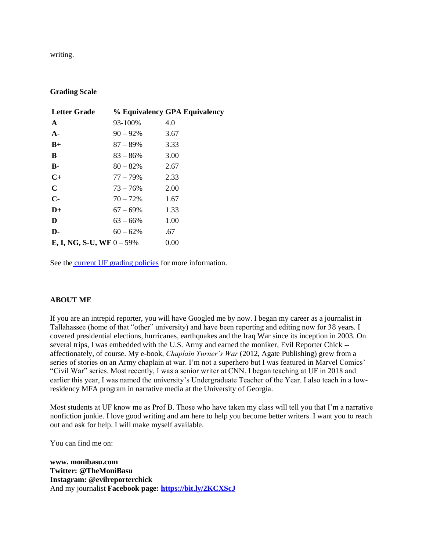writing.

### **Grading Scale**

| <b>Letter Grade</b>                 |             | % Equivalency GPA Equivalency |
|-------------------------------------|-------------|-------------------------------|
| $\mathbf{A}$                        | 93-100%     | 4.0                           |
| $A -$                               | $90 - 92\%$ | 3.67                          |
| $B+$                                | $87 - 89\%$ | 3.33                          |
| B                                   | $83 - 86\%$ | 3.00                          |
| <b>B</b> -                          | $80 - 82\%$ | 2.67                          |
| $C+$                                | $77 - 79\%$ | 2.33                          |
| $\mathbf C$                         | $73 - 76\%$ | 2.00                          |
| $C-$                                | $70 - 72%$  | 1.67                          |
| $D+$                                | $67 - 69\%$ | 1.33                          |
| D                                   | $63 - 66\%$ | 1.00                          |
| D-                                  | $60 - 62\%$ | .67                           |
| <b>E, I, NG, S-U, WF</b> $0 - 59\%$ |             | 0.00                          |

See the [current UF grading policies](https://catalog.ufl.edu/ugrad/current/regulations/info/grades.aspx) for more information.

## **ABOUT ME**

If you are an intrepid reporter, you will have Googled me by now. I began my career as a journalist in Tallahassee (home of that "other" university) and have been reporting and editing now for 38 years. I covered presidential elections, hurricanes, earthquakes and the Iraq War since its inception in 2003. On several trips, I was embedded with the U.S. Army and earned the moniker, Evil Reporter Chick - affectionately, of course. My e-book, *Chaplain Turner's War* (2012, Agate Publishing) grew from a series of stories on an Army chaplain at war. I'm not a superhero but I was featured in Marvel Comics' "Civil War" series. Most recently, I was a senior writer at CNN. I began teaching at UF in 2018 and earlier this year, I was named the university's Undergraduate Teacher of the Year. I also teach in a lowresidency MFA program in narrative media at the University of Georgia.

Most students at UF know me as Prof B. Those who have taken my class will tell you that I'm a narrative nonfiction junkie. I love good writing and am here to help you become better writers. I want you to reach out and ask for help. I will make myself available.

You can find me on:

**www. monibasu.com Twitter: @TheMoniBasu Instagram: @evilreporterchick** And my journalist **Facebook page:<https://bit.ly/2KCXScJ>**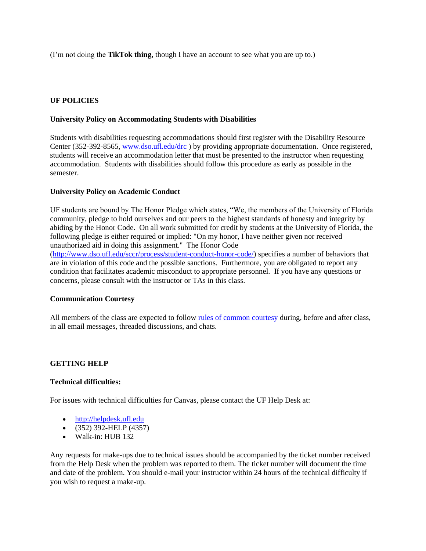(I'm not doing the **TikTok thing,** though I have an account to see what you are up to.)

## **UF POLICIES**

### **University Policy on Accommodating Students with Disabilities**

Students with disabilities requesting accommodations should first register with the Disability Resource Center (352-392-8565[, www.dso.ufl.edu/drc](http://www.dso.ufl.edu/drc) ) by providing appropriate documentation. Once registered, students will receive an accommodation letter that must be presented to the instructor when requesting accommodation. Students with disabilities should follow this procedure as early as possible in the semester.

## **University Policy on Academic Conduct**

UF students are bound by The Honor Pledge which states, "We, the members of the University of Florida community, pledge to hold ourselves and our peers to the highest standards of honesty and integrity by abiding by the Honor Code. On all work submitted for credit by students at the University of Florida, the following pledge is either required or implied: "On my honor, I have neither given nor received unauthorized aid in doing this assignment." The Honor Code

[\(http://www.dso.ufl.edu/sccr/process/student-conduct-honor-code/\)](http://www.dso.ufl.edu/sccr/process/student-conduct-honor-code/) specifies a number of behaviors that are in violation of this code and the possible sanctions. Furthermore, you are obligated to report any condition that facilitates academic misconduct to appropriate personnel. If you have any questions or concerns, please consult with the instructor or TAs in this class.

#### **Communication Courtesy**

All members of the class are expected to follow [rules of common courtesy](http://teach.ufl.edu/wp-content/uploads/2012/08/NetiquetteGuideforOnlineCourses.pdf) during, before and after class, in all email messages, threaded discussions, and chats.

#### **GETTING HELP**

#### **Technical difficulties:**

For issues with technical difficulties for Canvas, please contact the UF Help Desk at:

- [http://helpdesk.ufl.edu](http://helpdesk.ufl.edu/)
- (352) 392-HELP (4357)
- Walk-in: HUB 132

Any requests for make-ups due to technical issues should be accompanied by the ticket number received from the Help Desk when the problem was reported to them. The ticket number will document the time and date of the problem. You should e-mail your instructor within 24 hours of the technical difficulty if you wish to request a make-up.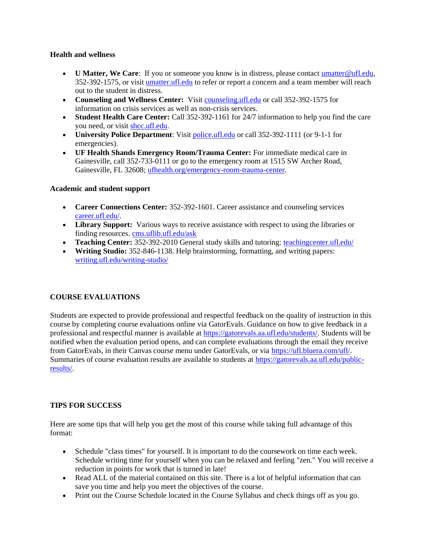## **Health and wellness**

- **U Matter, We Care**: If you or someone you know is in distress, please contac[t umatter@ufl.edu,](mailto:umatter@ufl.edu) 352-392-1575, or visit [umatter.ufl.edu](http://umatter.ufl.edu/) to refer or report a concern and a team member will reach out to the student in distress.
- **Counseling and Wellness Center:** Visit [counseling.ufl.edu](http://counseling.ufl.edu/) or call 352-392-1575 for information on crisis services as well as non-crisis services.
- **Student Health Care Center:** Call 352-392-1161 for 24/7 information to help you find the care you need, or visit [shcc.ufl.edu.](http://shcc.ufl.edu/)
- **University Police Department**: Visit [police.ufl.edu](http://police.ufl.edu/) or call 352-392-1111 (or 9-1-1 for emergencies).
- **UF Health Shands Emergency Room/Trauma Center:** For immediate medical care in Gainesville, call 352-733-0111 or go to the emergency room at 1515 SW Archer Road, Gainesville, FL 32608; [ufhealth.org/emergency-room-trauma-center.](http://ufhealth.org/emergency-room-trauma-center)

## **Academic and student support**

- **Career Connections Center:** 352-392-1601. Career assistance and counseling services [career.ufl.edu/.](http://career.ufl.edu/)
- **Library Support:** Various ways to receive assistance with respect to using the libraries or finding resources[. cms.uflib.ufl.edu/ask](http://cms.uflib.ufl.edu/ask)
- **Teaching Center:** 352-392-2010 General study skills and tutoring: [teachingcenter.ufl.edu/](http://teachingcenter.ufl.edu/)
- **Writing Studio:** 352-846-1138. Help brainstorming, formatting, and writing papers: [writing.ufl.edu/writing-studio/](http://writing.ufl.edu/writing-studio/)

# **COURSE EVALUATIONS**

Students are expected to provide professional and respectful feedback on the quality of instruction in this course by completing course evaluations online via GatorEvals. Guidance on how to give feedback in a professional and respectful manner is available at [https://gatorevals.aa.ufl.edu/students/.](https://gatorevals.aa.ufl.edu/students/) Students will be notified when the evaluation period opens, and can complete evaluations through the email they receive from GatorEvals, in their Canvas course menu under GatorEvals, or via [https://ufl.bluera.com/ufl/.](https://urldefense.proofpoint.com/v2/url?u=https-3A__ufl.bluera.com_ufl_&d=DwMFAg&c=sJ6xIWYx-zLMB3EPkvcnVg&r=y2HjEMjRMHJhfdvLrqJZlYczRsfp5e4TfQjHuc5rVHg&m=WXko6OK_Ha6T00ZVAsEaSh99qRXHOgMNFRywCoehRho&s=itVU46DDJjnIg4CW6efJOOLgPjdzsPvCghyfzJoFONs&e=) Summaries of course evaluation results are available to students at [https://gatorevals.aa.ufl.edu/public](https://gatorevals.aa.ufl.edu/public-results/)[results/.](https://gatorevals.aa.ufl.edu/public-results/)

## **TIPS FOR SUCCESS**

Here are some tips that will help you get the most of this course while taking full advantage of this format:

- Schedule "class times" for yourself. It is important to do the coursework on time each week. Schedule writing time for yourself when you can be relaxed and feeling "zen." You will receive a reduction in points for work that is turned in late!
- Read ALL of the material contained on this site. There is a lot of helpful information that can save you time and help you meet the objectives of the course.
- Print out the Course Schedule located in the Course Syllabus and check things off as you go.